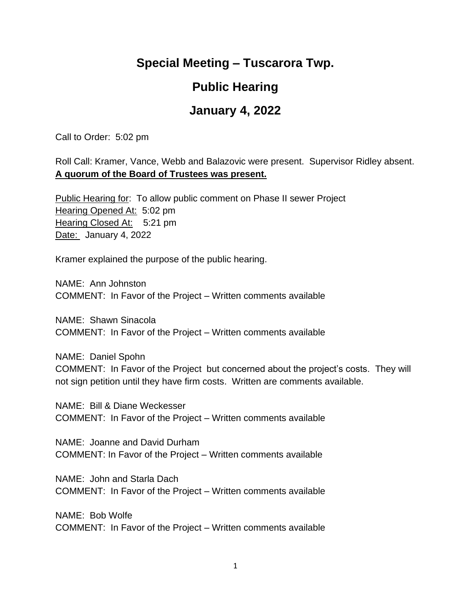## **Special Meeting – Tuscarora Twp.**

## **Public Hearing**

## **January 4, 2022**

Call to Order: 5:02 pm

Roll Call: Kramer, Vance, Webb and Balazovic were present. Supervisor Ridley absent. **A quorum of the Board of Trustees was present.**

Public Hearing for: To allow public comment on Phase II sewer Project Hearing Opened At: 5:02 pm Hearing Closed At: 5:21 pm Date: January 4, 2022

Kramer explained the purpose of the public hearing.

NAME: Ann Johnston COMMENT: In Favor of the Project – Written comments available

NAME: Shawn Sinacola COMMENT: In Favor of the Project – Written comments available

NAME: Daniel Spohn COMMENT: In Favor of the Project but concerned about the project's costs. They will not sign petition until they have firm costs. Written are comments available.

NAME: Bill & Diane Weckesser COMMENT: In Favor of the Project – Written comments available

NAME: Joanne and David Durham COMMENT: In Favor of the Project – Written comments available

NAME: John and Starla Dach COMMENT: In Favor of the Project – Written comments available

NAME: Bob Wolfe COMMENT: In Favor of the Project – Written comments available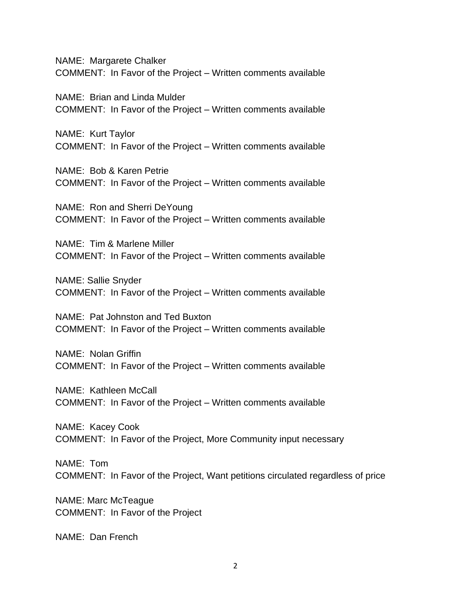NAME: Margarete Chalker COMMENT: In Favor of the Project – Written comments available

NAME: Brian and Linda Mulder COMMENT: In Favor of the Project – Written comments available

NAME: Kurt Taylor COMMENT: In Favor of the Project – Written comments available

NAME: Bob & Karen Petrie COMMENT: In Favor of the Project – Written comments available

NAME: Ron and Sherri DeYoung COMMENT: In Favor of the Project – Written comments available

NAME: Tim & Marlene Miller COMMENT: In Favor of the Project – Written comments available

NAME: Sallie Snyder COMMENT: In Favor of the Project – Written comments available

NAME: Pat Johnston and Ted Buxton COMMENT: In Favor of the Project – Written comments available

NAME: Nolan Griffin COMMENT: In Favor of the Project – Written comments available

NAME: Kathleen McCall COMMENT: In Favor of the Project – Written comments available

NAME: Kacey Cook COMMENT: In Favor of the Project, More Community input necessary

NAME: Tom COMMENT: In Favor of the Project, Want petitions circulated regardless of price

NAME: Marc McTeague COMMENT: In Favor of the Project

NAME: Dan French